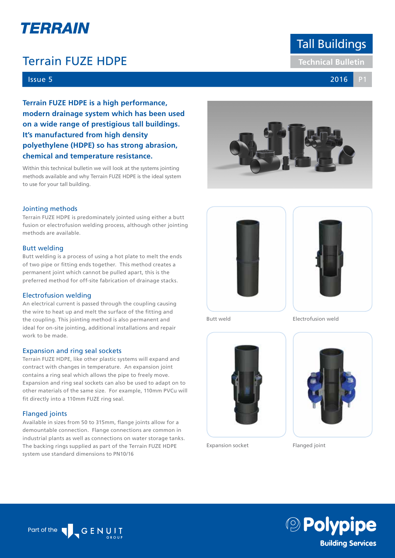# TERRAIN

## **Terrain FUZE HDPE Technical Bulletin**

### Issue 5 2016 P1

**Terrain FUZE HDPE is a high performance, modern drainage system which has been used on a wide range of prestigious tall buildings. It's manufactured from high density polyethylene (HDPE) so has strong abrasion, chemical and temperature resistance.**

Within this technical bulletin we will look at the systems jointing methods available and why Terrain FUZE HDPE is the ideal system to use for your tall building.

#### Jointing methods

Terrain FUZE HDPE is predominately jointed using either a butt fusion or electrofusion welding process, although other jointing methods are available.

#### Butt welding

Butt welding is a process of using a hot plate to melt the ends of two pipe or fitting ends together. This method creates a permanent joint which cannot be pulled apart, this is the preferred method for off-site fabrication of drainage stacks.

#### Electrofusion welding

An electrical current is passed through the coupling causing the wire to heat up and melt the surface of the fitting and the coupling. This jointing method is also permanent and ideal for on-site jointing, additional installations and repair work to be made.

#### Expansion and ring seal sockets

Terrain FUZE HDPE, like other plastic systems will expand and contract with changes in temperature. An expansion joint contains a ring seal which allows the pipe to freely move. Expansion and ring seal sockets can also be used to adapt on to other materials of the same size. For example, 110mm PVCu will fit directly into a 110mm FUZE ring seal.

#### Flanged joints

Available in sizes from 50 to 315mm, flange joints allow for a demountable connection. Flange connections are common in industrial plants as well as connections on water storage tanks. The backing rings supplied as part of the Terrain FUZE HDPE system use standard dimensions to PN10/16







Butt weld





Expansion socket



Flanged joint





Part of the Second Second Second